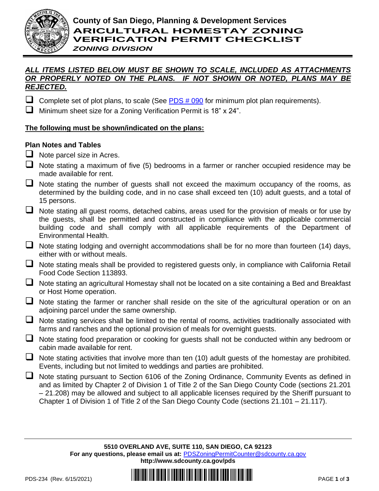

#### *ALL ITEMS LISTED BELOW MUST BE SHOWN TO SCALE, INCLUDED AS ATTACHMENTS OR PROPERLY NOTED ON THE PLANS. IF NOT SHOWN OR NOTED, PLANS MAY BE REJECTED.*

- Complete set of plot plans, to scale (See  $PDS # 090$  for minimum plot plan requirements).
- ❑ Minimum sheet size for a Zoning Verification Permit is 18" x 24".

### **The following must be shown/indicated on the plans:**

### **Plan Notes and Tables**

- ❑ Note parcel size in Acres.
- ❑ Note stating a maximum of five (5) bedrooms in a farmer or rancher occupied residence may be made available for rent.
- Note stating the number of quests shall not exceed the maximum occupancy of the rooms, as determined by the building code, and in no case shall exceed ten (10) adult guests, and a total of 15 persons.
- Note stating all guest rooms, detached cabins, areas used for the provision of meals or for use by the guests, shall be permitted and constructed in compliance with the applicable commercial building code and shall comply with all applicable requirements of the Department of Environmental Health.
- $\Box$  Note stating lodging and overnight accommodations shall be for no more than fourteen (14) days, either with or without meals.
- ❑ Note stating meals shall be provided to registered guests only, in compliance with California Retail Food Code Section 113893.
- Note stating an agricultural Homestay shall not be located on a site containing a Bed and Breakfast or Host Home operation.
- ❑ Note stating the farmer or rancher shall reside on the site of the agricultural operation or on an adjoining parcel under the same ownership.
- Note stating services shall be limited to the rental of rooms, activities traditionally associated with farms and ranches and the optional provision of meals for overnight guests.
- ❑ Note stating food preparation or cooking for guests shall not be conducted within any bedroom or cabin made available for rent.
- ❑ Note stating activities that involve more than ten (10) adult guests of the homestay are prohibited. Events, including but not limited to weddings and parties are prohibited.
- ❑ Note stating pursuant to Section 6106 of the Zoning Ordinance, Community Events as defined in and as limited by Chapter 2 of Division 1 of Title 2 of the San Diego County Code (sections 21.201 – 21.208) may be allowed and subject to all applicable licenses required by the Sheriff pursuant to Chapter 1 of Division 1 of Title 2 of the San Diego County Code (sections 21.101 – 21.117).

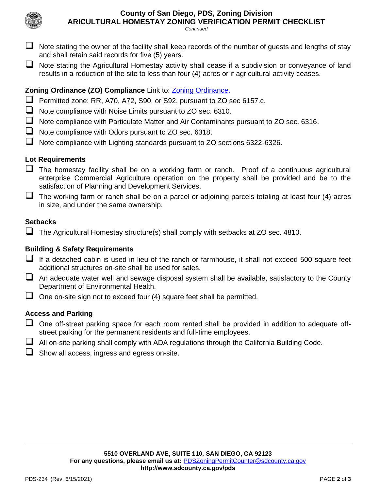

**ARICULTURAL HOMESTAY ZONING VERIFICATION PERMIT CHECKLIST**

*Continued*

- $\Box$  Note stating the owner of the facility shall keep records of the number of guests and lengths of stay and shall retain said records for five (5) years.
- Note stating the Agricultural Homestay activity shall cease if a subdivision or conveyance of land results in a reduction of the site to less than four (4) acres or if agricultural activity ceases.

# **Zoning Ordinance (ZO) Compliance** Link to: [Zoning Ordinance.](http://www.sdcounty.ca.gov/pds/zoning/index.html)

- ❑ Permitted zone: RR, A70, A72, S90, or S92, pursuant to ZO sec 6157.c.
- ❑ Note compliance with Noise Limits pursuant to ZO sec. 6310.
- ❑ Note compliance with Particulate Matter and Air Contaminants pursuant to ZO sec. 6316.
- ❑ Note compliance with Odors pursuant to ZO sec. 6318.
- ❑ Note compliance with Lighting standards pursuant to ZO sections 6322-6326.

# **Lot Requirements**

- $\Box$  The homestay facility shall be on a working farm or ranch. Proof of a continuous agricultural enterprise Commercial Agriculture operation on the property shall be provided and be to the satisfaction of Planning and Development Services.
- $\Box$  The working farm or ranch shall be on a parcel or adjoining parcels totaling at least four (4) acres in size, and under the same ownership.

## **Setbacks**

 $\Box$  The Agricultural Homestay structure(s) shall comply with setbacks at ZO sec. 4810.

## **Building & Safety Requirements**

- If a detached cabin is used in lieu of the ranch or farmhouse, it shall not exceed 500 square feet additional structures on-site shall be used for sales.
- □ An adequate water well and sewage disposal system shall be available, satisfactory to the County Department of Environmental Health.
- □ One on-site sign not to exceed four (4) square feet shall be permitted.

## **Access and Parking**

- □ One off-street parking space for each room rented shall be provided in addition to adequate offstreet parking for the permanent residents and full-time employees.
- $\Box$  All on-site parking shall comply with ADA regulations through the California Building Code.
- ❑ Show all access, ingress and egress on-site.